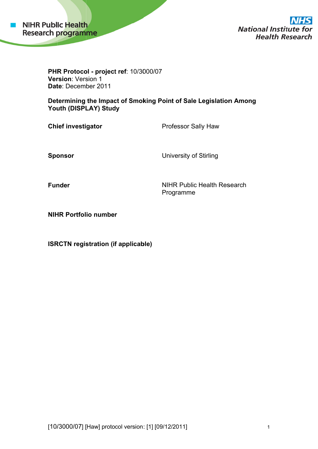

**National Institute for Health Research** 

**PHR Protocol - project ref**: 10/3000/07 **Version: Version 1** Date: December 2011

**Determining the Impact of Smoking Point of Sale Legislation Among Youth (DISPLAY) Study** 

**Chief investigator** 

Professor Sally Haw

**Spo onsor** 

University of Stirling

**Funder** 

NIHR Public Health Research Prog gramme

**NIHR Portfolio number** 

**ISRCTN registration (if applicable)**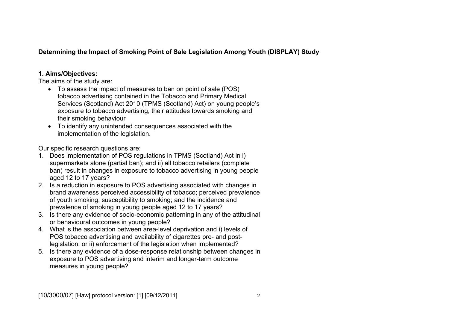# **Determining the Impact of Smoking Point of Sale Legislation Among Youth (DISPLAY) Study**

# **1. Aims/Objectives:**

The aims of the study are:

- To assess the impact of measures to ban on point of sale (POS) tobacco advertising contained in the Tobacco and Primary Medical Services (Scotland) Act 2010 (TPMS (Scotland) Act) on young people's exposure to tobacco advertising, their attitudes towards smoking and their smoking behaviour
- To identify any unintended consequences associated with the implementation of the legislation.

Our specific research questions are:

- 1. Does implementation of POS regulations in TPMS (Scotland) Act in i) supermarkets alone (partial ban); and ii) all tobacco retailers (complete ban) result in changes in exposure to tobacco advertising in young people aged 12 to 17 years?
- 2. Is a reduction in exposure to POS advertising associated with changes in brand awareness perceived accessibility of tobacco; perceived prevalence of youth smoking; susceptibility to smoking; and the incidence and prevalence of smoking in young people aged 12 to 17 years?
- 3. Is there any evidence of socio-economic patterning in any of the attitudinal or behavioural outcomes in young people?
- 4. What is the association between area-level deprivation and i) levels of POS tobacco advertising and availability of cigarettes pre- and postlegislation; or ii) enforcement of the legislation when implemented?
- 5. Is there any evidence of a dose-response relationship between changes in exposure to POS advertising and interim and longer-term outcome measures in young people?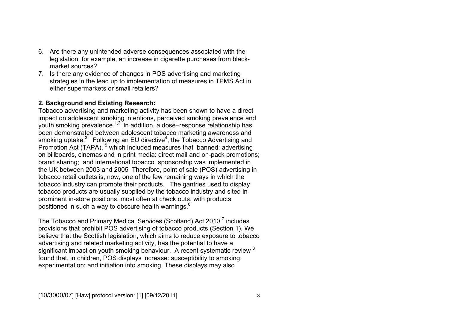- 6. Are there any unintended adverse consequences associated with the legislation, for example, an increase in cigarette purchases from blackmarket sources?
- 7. Is there any evidence of changes in POS advertising and marketing strategies in the lead up to implementation of measures in TPMS Act in either supermarkets or small retailers?

# **2. Background and Existing Research:**

Tobacco advertising and marketing activity has been shown to have a direct impact on adolescent smoking intentions, perceived smoking prevalence and youth smoking prevalence.<sup>1,2</sup> In addition, a dose–response relationship has been demonstrated between adolescent tobacco marketing awareness and smoking uptake. $3$  Following an EU directive<sup>4</sup>, the Tobacco Advertising and Promotion Act (TAPA), <sup>5</sup> which included measures that banned: advertising on billboards, cinemas and in print media: direct mail and on-pack promotions; brand sharing; and international tobacco sponsorship was implemented in the UK between 2003 and 2005 Therefore, point of sale (POS) advertising in tobacco retail outlets is, now, one of the few remaining ways in which the tobacco industry can promote their products. The gantries used to display tobacco products are usually supplied by the tobacco industry and sited in prominent in-store positions, most often at check outs, with products positioned in such a way to obscure health warnings.<sup>6</sup>

The Tobacco and Primary Medical Services (Scotland) Act 2010 7 includes provisions that prohibit POS advertising of tobacco products (Section 1). We believe that the Scottish legislation, which aims to reduce exposure to tobacco advertising and related marketing activity, has the potential to have a significant impact on youth smoking behaviour. A recent systematic review <sup>8</sup> found that, in children, POS displays increase: susceptibility to smoking; experimentation; and initiation into smoking. These displays may also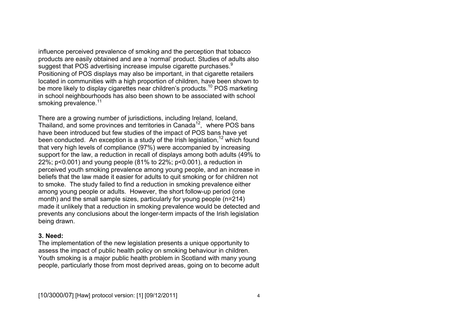influence perceived prevalence of smoking and the perception that tobacco products are easily obtained and are a 'normal' product. Studies of adults also suggest that POS advertising increase impulse cigarette purchases.<sup>9</sup> Positioning of POS displays may also be important, in that cigarette retailers located in communities with a high proportion of children, have been shown to be more likely to display cigarettes near children's products.<sup>10</sup> POS marketing in school neighbourhoods has also been shown to be associated with school smoking prevalence.<sup>11</sup>

There are a growing number of jurisdictions, including Ireland, Iceland, Thailand, and some provinces and territories in Canada<sup>12</sup>, where POS bans have been introduced but few studies of the impact of POS bans have yet been conducted. An exception is a study of the Irish legislation,  $12$  which found that very high levels of compliance (97%) were accompanied by increasing support for the law, a reduction in recall of displays among both adults (49% to 22%; p<0.001) and young people (81% to 22%; p<0.001), a reduction in perceived youth smoking prevalence among young people, and an increase in beliefs that the law made it easier for adults to quit smoking or for children not to smoke. The study failed to find a reduction in smoking prevalence either among young people or adults. However, the short follow-up period (one month) and the small sample sizes, particularly for young people (n=214) made it unlikely that a reduction in smoking prevalence would be detected and prevents any conclusions about the longer-term impacts of the Irish legislation being drawn.

#### **3. Need:**

The implementation of the new legislation presents a unique opportunity to assess the impact of public health policy on smoking behaviour in children. Youth smoking is a major public health problem in Scotland with many young people, particularly those from most deprived areas, going on to become adult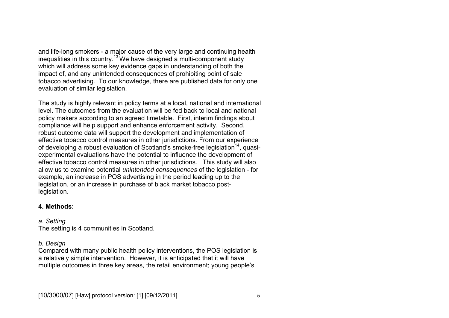and life-long smokers - a major cause of the very large and continuing health inequalities in this country.<sup>13</sup> We have designed a multi-component study which will address some key evidence gaps in understanding of both the impact of, and any unintended consequences of prohibiting point of sale tobacco advertising. To our knowledge, there are published data for only one evaluation of similar legislation.

The study is highly relevant in policy terms at a local, national and international level. The outcomes from the evaluation will be fed back to local and national policy makers according to an agreed timetable. First, interim findings about compliance will help support and enhance enforcement activity. Second, robust outcome data will support the development and implementation of effective tobacco control measures in other jurisdictions. From our experience of developing a robust evaluation of Scotland's smoke-free legislation<sup>14</sup>, quasiexperimental evaluations have the potential to influence the development of effective tobacco control measures in other jurisdictions. This study will also allow us to examine potential *unintended consequences* of the legislation - for example, an increase in POS advertising in the period leading up to the legislation, or an increase in purchase of black market tobacco postlegislation.

## **4. Methods:**

# *a. Setting*

The setting is 4 communities in Scotland.

# *b. Design*

Compared with many public health policy interventions, the POS legislation is a relatively simple intervention. However, it is anticipated that it will have multiple outcomes in three key areas, the retail environment; young people's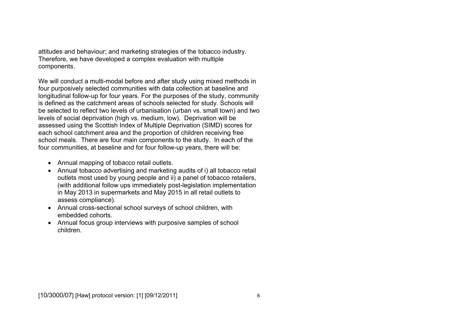attitudes and behaviour; and marketing strategies of the tobacco industry. Therefore, we have developed a complex evaluation with multiple components.

We will conduct a multi-modal before and after study using mixed methods in four purposively selected communities with data collection at baseline and longitudinal follow-up for four years. For the purposes of the study, community is defined as the catchment areas of schools selected for study. Schools will be selected to reflect two levels of urbanisation (urban vs. small town) and two levels of social deprivation (high vs. medium, low). Deprivation will be assessed using the Scottish Index of Multiple Deprivation (SIMD) scores for each school catchment area and the proportion of children receiving free school meals. There are four main components to the study. In each of the four communities, at baseline and for four follow-up years, there will be:

- Annual mapping of tobacco retail outlets.
- Annual tobacco advertising and marketing audits of i) all tobacco retail outlets most used by young people and ii) a panel of tobacco retailers, (with additional follow ups immediately post-legislation implementation in May 2013 in supermarkets and May 2015 in all retail outlets to assess compliance).
- Annual cross-sectional school surveys of school children, with embedded cohorts.
- Annual focus group interviews with purposive samples of school children.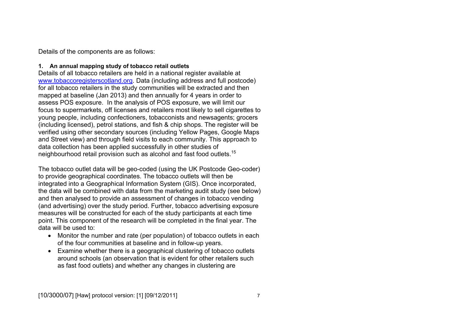Details of the components are as follows:

### **1. An annual mapping study of tobacco retail outlets**

Details of all tobacco retailers are held in a national register available at www.tobaccoregisterscotland.org. Data (including address and full postcode) for all tobacco retailers in the study communities will be extracted and then mapped at baseline (Jan 2013) and then annually for 4 years in order to assess POS exposure. In the analysis of POS exposure, we will limit our focus to supermarkets, off licenses and retailers most likely to sell cigarettes to young people, including confectioners, tobacconists and newsagents; grocers (including licensed), petrol stations, and fish & chip shops. The register will be verified using other secondary sources (including Yellow Pages, Google Maps and Street view) and through field visits to each community. This approach to data collection has been applied successfully in other studies of neighbourhood retail provision such as alcohol and fast food outlets.<sup>15</sup>

The tobacco outlet data will be geo-coded (using the UK Postcode Geo-coder) to provide geographical coordinates. The tobacco outlets will then be integrated into a Geographical Information System (GIS). Once incorporated, the data will be combined with data from the marketing audit study (see below) and then analysed to provide an assessment of changes in tobacco vending (and advertising) over the study period. Further, tobacco advertising exposure measures will be constructed for each of the study participants at each time point. This component of the research will be completed in the final year. The data will be used to:

- Monitor the number and rate (per population) of tobacco outlets in each of the four communities at baseline and in follow-up years.
- Examine whether there is a geographical clustering of tobacco outlets around schools (an observation that is evident for other retailers such as fast food outlets) and whether any changes in clustering are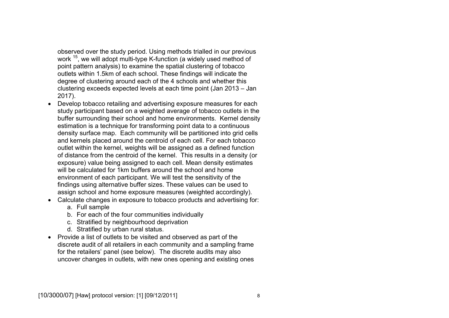observed over the study period. Using methods trialled in our previous work <sup>15</sup>, we will adopt multi-type K-function (a widely used method of point pattern analysis) to examine the spatial clustering of tobacco outlets within 1.5km of each school. These findings will indicate the degree of clustering around each of the 4 schools and whether this clustering exceeds expected levels at each time point (Jan 2013 – Jan 2017).

- Develop tobacco retailing and advertising exposure measures for each study participant based on a weighted average of tobacco outlets in the buffer surrounding their school and home environments. Kernel density estimation is a technique for transforming point data to a continuous density surface map. Each community will be partitioned into grid cells and kernels placed around the centroid of each cell. For each tobacco outlet within the kernel, weights will be assigned as a defined function of distance from the centroid of the kernel. This results in a density (or exposure) value being assigned to each cell. Mean density estimates will be calculated for 1km buffers around the school and home environment of each participant. We will test the sensitivity of the findings using alternative buffer sizes. These values can be used to assign school and home exposure measures (weighted accordingly).
- Calculate changes in exposure to tobacco products and advertising for:
	- a. Full sample
	- b. For each of the four communities individually
	- c. Stratified by neighbourhood deprivation
	- d. Stratified by urban rural status.
- Provide a list of outlets to be visited and observed as part of the discrete audit of all retailers in each community and a sampling frame for the retailers' panel (see below). The discrete audits may also uncover changes in outlets, with new ones opening and existing ones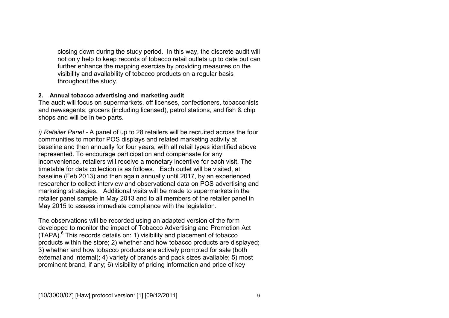closing down during the study period. In this way, the discrete audit will not only help to keep records of tobacco retail outlets up to date but can further enhance the mapping exercise by providing measures on the visibility and availability of tobacco products on a regular basis throughout the study.

#### **2. Annual tobacco advertising and marketing audit**

The audit will focus on supermarkets, off licenses, confectioners, tobacconists and newsagents; grocers (including licensed), petrol stations, and fish & chip shops and will be in two parts.

*i) Retailer Panel -* A panel of up to 28 retailers will be recruited across the four communities to monitor POS displays and related marketing activity at baseline and then annually for four years, with all retail types identified above represented. To encourage participation and compensate for any inconvenience, retailers will receive a monetary incentive for each visit. The timetable for data collection is as follows. Each outlet will be visited, at baseline (Feb 2013) and then again annually until 2017, by an experienced researcher to collect interview and observational data on POS advertising and marketing strategies. Additional visits will be made to supermarkets in the retailer panel sample in May 2013 and to all members of the retailer panel in May 2015 to assess immediate compliance with the legislation.

The observations will be recorded using an adapted version of the form developed to monitor the impact of Tobacco Advertising and Promotion Act  $(TAPA)<sup>6</sup>$ . This records details on: 1) visibility and placement of tobacco products within the store; 2) whether and how tobacco products are displayed; 3) whether and how tobacco products are actively promoted for sale (both external and internal); 4) variety of brands and pack sizes available; 5) most prominent brand, if any; 6) visibility of pricing information and price of key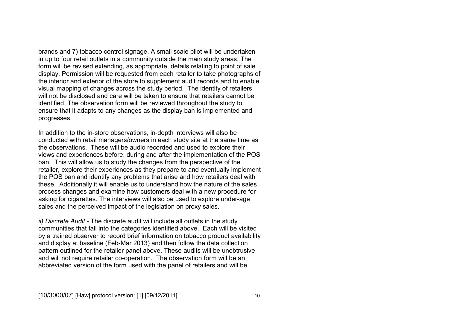brands and 7) tobacco control signage. A small scale pilot will be undertaken in up to four retail outlets in a community outside the main study areas. The form will be revised extending, as appropriate, details relating to point of sale display. Permission will be requested from each retailer to take photographs of the interior and exterior of the store to supplement audit records and to enable visual mapping of changes across the study period. The identity of retailers will not be disclosed and care will be taken to ensure that retailers cannot be identified. The observation form will be reviewed throughout the study to ensure that it adapts to any changes as the display ban is implemented and progresses.

In addition to the in-store observations, in-depth interviews will also be conducted with retail managers/owners in each study site at the same time as the observations. These will be audio recorded and used to explore their views and experiences before, during and after the implementation of the POS ban. This will allow us to study the changes from the perspective of the retailer, explore their experiences as they prepare to and eventually implement the POS ban and identify any problems that arise and how retailers deal with these. Additionally it will enable us to understand how the nature of the sales process changes and examine how customers deal with a new procedure for asking for cigarettes. The interviews will also be used to explore under-age sales and the perceived impact of the legislation on proxy sales.

*ii) Discrete Audit -* The discrete audit will include all outlets in the study communities that fall into the categories identified above. Each will be visited by a trained observer to record brief information on tobacco product availability and display at baseline (Feb-Mar 2013) and then follow the data collection pattern outlined for the retailer panel above. These audits will be unobtrusive and will not require retailer co-operation. The observation form will be an abbreviated version of the form used with the panel of retailers and will be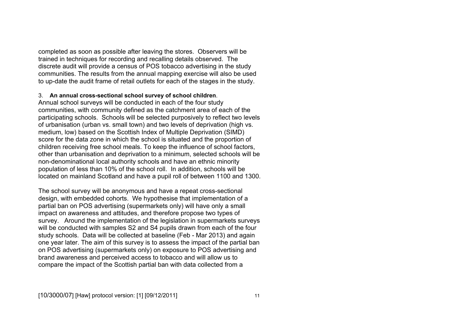completed as soon as possible after leaving the stores. Observers will be trained in techniques for recording and recalling details observed. The discrete audit will provide a census of POS tobacco advertising in the study communities. The results from the annual mapping exercise will also be used to up-date the audit frame of retail outlets for each of the stages in the study.

#### 3. **An annual cross-sectional school survey of school children**.

Annual school surveys will be conducted in each of the four study communities, with community defined as the catchment area of each of the participating schools. Schools will be selected purposively to reflect two levels of urbanisation (urban vs. small town) and two levels of deprivation (high vs. medium, low) based on the Scottish Index of Multiple Deprivation (SIMD) score for the data zone in which the school is situated and the proportion of children receiving free school meals. To keep the influence of school factors, other than urbanisation and deprivation to a minimum, selected schools will be non-denominational local authority schools and have an ethnic minority population of less than 10% of the school roll. In addition, schools will be located on mainland Scotland and have a pupil roll of between 1100 and 1300.

The school survey will be anonymous and have a repeat cross-sectional design, with embedded cohorts. We hypothesise that implementation of a partial ban on POS advertising (supermarkets only) will have only a small impact on awareness and attitudes, and therefore propose two types of survey. Around the implementation of the legislation in supermarkets surveys will be conducted with samples S2 and S4 pupils drawn from each of the four study schools. Data will be collected at baseline (Feb - Mar 2013) and again one year later. The aim of this survey is to assess the impact of the partial ban on POS advertising (supermarkets only) on exposure to POS advertising and brand awareness and perceived access to tobacco and will allow us to compare the impact of the Scottish partial ban with data collected from a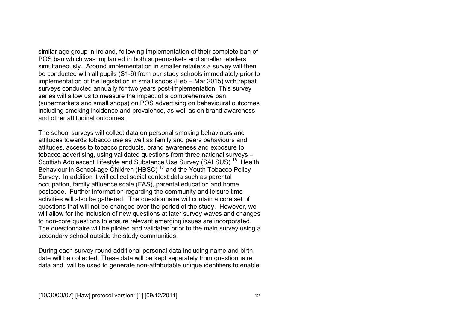similar age group in Ireland, following implementation of their complete ban of POS ban which was implanted in both supermarkets and smaller retailers simultaneously. Around implementation in smaller retailers a survey will then be conducted with all pupils (S1-6) from our study schools immediately prior to implementation of the legislation in small shops (Feb – Mar 2015) with repeat surveys conducted annually for two years post-implementation. This survey series will allow us to measure the impact of a comprehensive ban (supermarkets and small shops) on POS advertising on behavioural outcomes including smoking incidence and prevalence, as well as on brand awareness and other attitudinal outcomes.

The school surveys will collect data on personal smoking behaviours and attitudes towards tobacco use as well as family and peers behaviours and attitudes, access to tobacco products, brand awareness and exposure to tobacco advertising, using validated questions from three national surveys – Scottish Adolescent Lifestyle and Substance Use Survey (SALSUS)<sup>16</sup>, Health Behaviour in School-age Children (HBSC)<sup>17</sup> and the Youth Tobacco Policy Survey. In addition it will collect social context data such as parental occupation, family affluence scale (FAS), parental education and home postcode. Further information regarding the community and leisure time activities will also be gathered. The questionnaire will contain a core set of questions that will not be changed over the period of the study. However, we will allow for the inclusion of new questions at later survey waves and changes to non-core questions to ensure relevant emerging issues are incorporated. The questionnaire will be piloted and validated prior to the main survey using a secondary school outside the study communities.

During each survey round additional personal data including name and birth date will be collected. These data will be kept separately from questionnaire data and `will be used to generate non-attributable unique identifiers to enable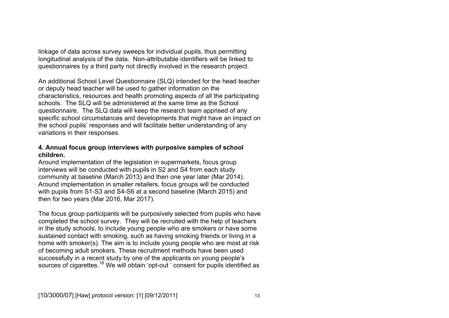linkage of data across survey sweeps for individual pupils, thus permitting longitudinal analysis of the data. Non-attributable identifiers will be linked to questionnaires by a third party not directly involved in the research project.

An additional School Level Questionnaire (SLQ) intended for the head teacher or deputy head teacher will be used to gather information on the characteristics, resources and health promoting aspects of all the participating schools. The SLQ will be administered at the same time as the School questionnaire. The SLQ data will keep the research team apprised of any specific school circumstances and developments that might have an impact on the school pupils' responses and will facilitate better understanding of any variations in their responses.

### **4. Annual focus group interviews with purposive samples of school children.**

Around implementation of the legislation in supermarkets, focus group interviews will be conducted with pupils in S2 and S4 from each study community at baseline (March 2013) and then one year later (Mar 2014). Around implementation in smaller retailers, focus groups will be conducted with pupils from S1-S3 and S4-S6 at a second baseline (March 2015) and then for two years (Mar 2016, Mar 2017).

The focus group participants will be purposively selected from pupils who have completed the school survey. They will be recruited with the help of teachers in the study schools, to include young people who are smokers or have some sustained contact with smoking, such as having smoking friends or living in a home with smoker(s). The aim is to include young people who are most at risk of becoming adult smokers. These recruitment methods have been used successfully in a recent study by one of the applicants on young people's sources of cigarettes.<sup>18</sup> We will obtain 'opt-out ' consent for pupils identified as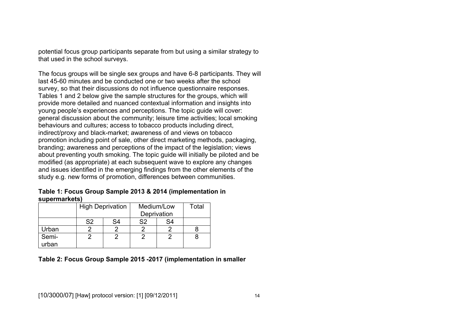potential focus group participants separate from but using a similar strategy to that used in the school surveys.

The focus groups will be single sex groups and have 6-8 participants. They will last 45-60 minutes and be conducted one or two weeks after the school survey, so that their discussions do not influence questionnaire responses. Tables 1 and 2 below give the sample structures for the groups, which will provide more detailed and nuanced contextual information and insights into young people's experiences and perceptions. The topic guide will cover: general discussion about the community; leisure time activities; local smoking behaviours and cultures; access to tobacco products including direct, indirect/proxy and black-market; awareness of and views on tobacco promotion including point of sale, other direct marketing methods, packaging, branding; awareness and perceptions of the impact of the legislation; views about preventing youth smoking. The topic guide will initially be piloted and be modified (as appropriate) at each subsequent wave to explore any changes and issues identified in the emerging findings from the other elements of the study e.g. new forms of promotion, differences between communities.

#### **Table 1: Focus Group Sample 2013 & 2014 (implementation in supermarkets)**

|                |                | <b>High Deprivation</b> | Medium/Low<br>Deprivation | Total |  |
|----------------|----------------|-------------------------|---------------------------|-------|--|
|                | S <sub>2</sub> | S4                      | S <sub>2</sub>            | S4    |  |
| Urban          |                |                         |                           |       |  |
| Semi-<br>urban |                |                         |                           |       |  |

## **Table 2: Focus Group Sample 2015 -2017 (implementation in smaller**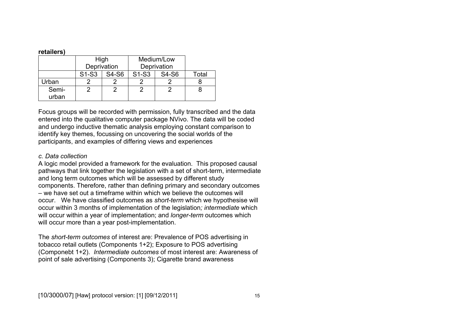#### **retailers)**

|                |                                | High<br>Deprivation | Medium/Low<br>Deprivation      |       |       |
|----------------|--------------------------------|---------------------|--------------------------------|-------|-------|
|                | S <sub>1</sub> -S <sub>3</sub> | S4-S6               | S <sub>1</sub> -S <sub>3</sub> | S4-S6 | Total |
| ∣rban          |                                |                     |                                |       |       |
| Semi-<br>urban |                                |                     |                                |       |       |

Focus groups will be recorded with permission, fully transcribed and the data entered into the qualitative computer package NVivo. The data will be coded and undergo inductive thematic analysis employing constant comparison to identify key themes, focussing on uncovering the social worlds of the participants, and examples of differing views and experiences

#### *c. Data collection*

A logic model provided a framework for the evaluation. This proposed causal pathways that link together the legislation with a set of short-term, intermediate and long term outcomes which will be assessed by different study components. Therefore, rather than defining primary and secondary outcomes – we have set out a timeframe within which we believe the outcomes will occur. We have classified outcomes as *short-term* which we hypothesise will occur within 3 months of implementation of the legislation*; intermediate* which will occur within a year of implementation; and *longer-term* outcomes which will occur more than a year post-implementation.

The *short-term outcomes* of interest are: Prevalence of POS advertising in tobacco retail outlets (Components 1+2); Exposure to POS advertising (Componebt 1+2). *Intermediate outcomes* of most interest are: Awareness of point of sale advertising (Components 3); Cigarette brand awareness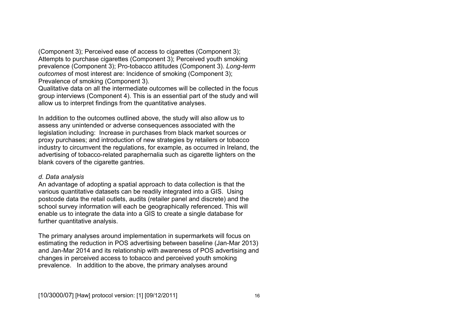(Component 3); Perceived ease of access to cigarettes (Component 3); Attempts to purchase cigarettes (Component 3); Perceived youth smoking prevalence (Component 3); Pro-tobacco attitudes (Component 3). *Long-term outcomes* of most interest are: Incidence of smoking (Component 3); Prevalence of smoking (Component 3).

Qualitative data on all the intermediate outcomes will be collected in the focus group interviews (Component 4). This is an essential part of the study and will allow us to interpret findings from the quantitative analyses.

In addition to the outcomes outlined above, the study will also allow us to assess any unintended or adverse consequences associated with the legislation including: Increase in purchases from black market sources or proxy purchases; and introduction of new strategies by retailers or tobacco industry to circumvent the regulations, for example, as occurred in Ireland, the advertising of tobacco-related paraphernalia such as cigarette lighters on the blank covers of the cigarette gantries.

#### *d. Data analysis*

An advantage of adopting a spatial approach to data collection is that the various quantitative datasets can be readily integrated into a GIS. Using postcode data the retail outlets, audits (retailer panel and discrete) and the school survey information will each be geographically referenced. This will enable us to integrate the data into a GIS to create a single database for further quantitative analysis.

The primary analyses around implementation in supermarkets will focus on estimating the reduction in POS advertising between baseline (Jan-Mar 2013) and Jan-Mar 2014 and its relationship with awareness of POS advertising and changes in perceived access to tobacco and perceived youth smoking prevalence. In addition to the above, the primary analyses around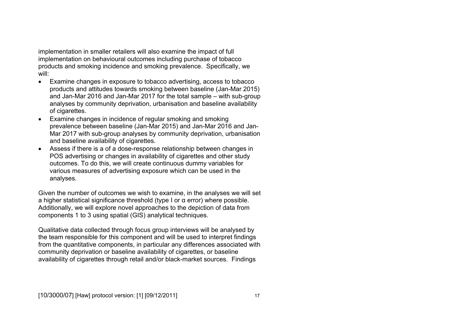implementation in smaller retailers will also examine the impact of full implementation on behavioural outcomes including purchase of tobacco products and smoking incidence and smoking prevalence. Specifically, we will:

- Examine changes in exposure to tobacco advertising, access to tobacco products and attitudes towards smoking between baseline (Jan-Mar 2015) and Jan-Mar 2016 and Jan-Mar 2017 for the total sample – with sub-group analyses by community deprivation, urbanisation and baseline availability of cigarettes.
- Examine changes in incidence of regular smoking and smoking prevalence between baseline (Jan-Mar 2015) and Jan-Mar 2016 and Jan-Mar 2017 with sub-group analyses by community deprivation, urbanisation and baseline availability of cigarettes.
- Assess if there is a of a dose-response relationship between changes in POS advertising or changes in availability of cigarettes and other study outcomes. To do this, we will create continuous dummy variables for various measures of advertising exposure which can be used in the analyses.

Given the number of outcomes we wish to examine, in the analyses we will set a higher statistical significance threshold (type I or α error) where possible. Additionally, we will explore novel approaches to the depiction of data from components 1 to 3 using spatial (GIS) analytical techniques.

Qualitative data collected through focus group interviews will be analysed by the team responsible for this component and will be used to interpret findings from the quantitative components, in particular any differences associated with community deprivation or baseline availability of cigarettes, or baseline availability of cigarettes through retail and/or black-market sources. Findings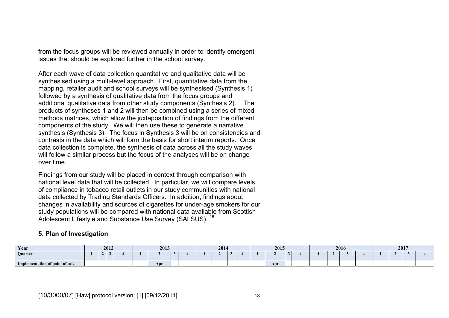from the focus groups will be reviewed annually in order to identify emergent issues that should be explored further in the school survey.

After each wave of data collection quantitative and qualitative data will be synthesised using a multi-level approach. First, quantitative data from the mapping, retailer audit and school surveys will be synthesised (Synthesis 1) followed by a synthesis of qualitative data from the focus groups and additional qualitative data from other study components (Synthesis 2). The products of syntheses 1 and 2 will then be combined using a series of mixed methods matrices, which allow the juxtaposition of findings from the different components of the study. We will then use these to generate a narrative synthesis (Synthesis 3). The focus in Synthesis 3 will be on consistencies and contrasts in the data which will form the basis for short interim reports. Once data collection is complete, the synthesis of data across all the study waves will follow a similar process but the focus of the analyses will be on change over time.

Findings from our study will be placed in context through comparison with national level data that will be collected. In particular, we will compare levels of compliance in tobacco retail outlets in our study communities with national data collected by Trading Standards Officers. In addition, findings about changes in availability and sources of cigarettes for under-age smokers for our study populations will be compared with national data available from Scottish Adolescent Lifestyle and Substance Use Survey (SALSUS). <sup>16</sup>

# **5. Plan of Investigation**

| Year                            | 2012 |  |  |  | 2013 |     |  | 2014 |  |  |  | 2015 |  |     |  |  | 2016 | 2017 |  |  |  |  |  |
|---------------------------------|------|--|--|--|------|-----|--|------|--|--|--|------|--|-----|--|--|------|------|--|--|--|--|--|
| Quarter                         |      |  |  |  |      |     |  |      |  |  |  |      |  |     |  |  |      |      |  |  |  |  |  |
| Implementation of point of sale |      |  |  |  |      | Apr |  |      |  |  |  |      |  | Apr |  |  |      |      |  |  |  |  |  |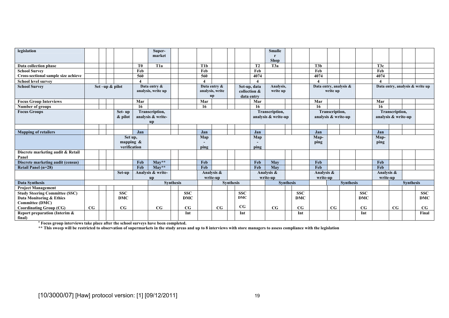| legislation                                |             |                 |  |                              |                   | Super-                               |              |                  |                 |                     |              |                | <b>Smalle</b>          |                     |            |                |                     |            |                                 |    |                  |             |  |
|--------------------------------------------|-------------|-----------------|--|------------------------------|-------------------|--------------------------------------|--------------|------------------|-----------------|---------------------|--------------|----------------|------------------------|---------------------|------------|----------------|---------------------|------------|---------------------------------|----|------------------|-------------|--|
|                                            |             |                 |  |                              |                   | market                               |              |                  |                 |                     |              |                | r<br><b>Shop</b>       |                     |            |                |                     |            |                                 |    |                  |             |  |
| Data collection phase                      |             |                 |  |                              | T <sub>0</sub>    | T <sub>1</sub> a                     |              | T <sub>1</sub> b |                 |                     |              | T <sub>2</sub> | T3a                    |                     | T3b        |                |                     |            | T <sub>3c</sub>                 |    |                  |             |  |
| <b>School Survey</b>                       |             |                 |  |                              | Feb               |                                      |              | Feb              |                 |                     |              | Feb            |                        |                     | Feb        |                |                     |            | Feb                             |    |                  |             |  |
| Cross-sectional sample size achieve        |             |                 |  |                              | 560               |                                      |              | 560              |                 |                     |              | 4074           |                        |                     | 4074       |                |                     |            | 4074                            |    |                  |             |  |
| <b>School level survey</b>                 |             |                 |  |                              |                   |                                      |              |                  |                 |                     |              |                |                        |                     | 4          |                |                     |            | $\boldsymbol{4}$                |    |                  |             |  |
| <b>School Survey</b>                       |             | Set -up & pilot |  |                              | Data entry &      |                                      | Data entry & |                  |                 |                     | Set-up, data | Analysis,      | Data entry, analysis & |                     |            |                |                     |            | Data entry, analysis & write up |    |                  |             |  |
|                                            |             |                 |  |                              |                   | analysis, write up                   |              |                  | analysis, write |                     | collection & | write up       |                        | write up            |            |                |                     |            |                                 |    |                  |             |  |
|                                            |             |                 |  |                              |                   |                                      | up           |                  | data entry      |                     |              |                |                        |                     |            |                |                     |            |                                 |    |                  |             |  |
| <b>Focus Group Interviews</b>              |             |                 |  |                              | Mar               |                                      |              | Mar              |                 |                     |              | Mar            |                        |                     | Mar        |                |                     |            | Mar                             |    |                  |             |  |
| Number of groups                           |             |                 |  |                              | -16               |                                      |              | 16               |                 |                     |              | 16             |                        |                     | 16         |                |                     |            | -16                             |    |                  |             |  |
| <b>Focus Groups</b>                        |             |                 |  | Set-up                       |                   | Transcription,                       |              |                  |                 |                     |              |                | Transcription,         |                     |            | Transcription, |                     |            | Transcription,                  |    |                  |             |  |
|                                            | & pilot     |                 |  |                              | analysis & write- |                                      |              |                  |                 | analysis & write-up |              |                |                        | analysis & write-up |            |                | analysis & write-up |            |                                 |    |                  |             |  |
|                                            |             |                 |  |                              |                   | <b>up</b>                            |              |                  |                 |                     |              |                |                        |                     |            |                |                     |            |                                 |    |                  |             |  |
|                                            |             |                 |  |                              |                   |                                      |              |                  |                 |                     |              |                |                        |                     |            |                |                     |            |                                 |    |                  |             |  |
| <b>Mapping of retailers</b>                |             |                 |  |                              | Jan               |                                      |              | Jan              |                 |                     |              | Jan            |                        |                     | Jan        |                |                     |            | Jan                             |    |                  |             |  |
|                                            |             |                 |  | Set up,                      |                   |                                      |              | Map              |                 |                     |              | Map            |                        |                     | Map-       |                |                     | Map-       |                                 |    |                  |             |  |
|                                            |             |                 |  | mapping $\&$<br>verification |                   |                                      |              |                  |                 |                     |              |                |                        |                     | ping       |                |                     |            | ping                            |    |                  |             |  |
|                                            |             |                 |  |                              |                   |                                      |              | ping             |                 |                     |              | ping           |                        |                     |            |                |                     |            |                                 |    |                  |             |  |
| Discrete marketing audit & Retail<br>Panel |             |                 |  |                              |                   |                                      |              |                  |                 |                     |              |                |                        |                     |            |                |                     |            |                                 |    |                  |             |  |
| Discrete marketing audit (census)          |             |                 |  |                              | Feb               | $Mav**$                              |              | Feb              |                 |                     |              | Feb            | May                    |                     | Feb        |                |                     |            | Feb                             |    |                  |             |  |
| Retail Panel (n=28)                        |             |                 |  |                              | Feb               | $\overline{\text{May}}^{\star\star}$ |              | Feb              |                 |                     |              | Feb            | May                    |                     | Feb        |                |                     |            | Feb                             |    |                  |             |  |
|                                            |             |                 |  | Set-up                       |                   | Analysis & write-                    |              |                  | Analysis &      |                     |              |                | Analysis &             |                     | Analysis & |                |                     |            | Analysis &                      |    |                  |             |  |
|                                            |             |                 |  |                              |                   | <b>up</b>                            |              |                  | write-up        |                     |              |                | write-up               |                     | write-up   |                |                     |            | write-up                        |    |                  |             |  |
| <b>Data Synthesis</b>                      |             |                 |  |                              |                   | <b>Synthesis</b>                     |              |                  |                 | <b>Synthesis</b>    |              |                | <b>Synthesis</b>       |                     |            |                | <b>Synthesis</b>    |            |                                 |    | <b>Synthesis</b> |             |  |
| <b>Project Management</b>                  |             |                 |  |                              |                   |                                      |              |                  |                 |                     |              |                |                        |                     |            |                |                     |            |                                 |    |                  |             |  |
| <b>Study Steering Committee (SSC)</b>      |             |                 |  | <b>SSC</b>                   |                   |                                      | <b>SSC</b>   |                  |                 |                     | <b>SSC</b>   |                |                        | <b>SSC</b>          |            |                |                     | <b>SSC</b> |                                 |    |                  | <b>SSC</b>  |  |
| Data Monitoring & Ethics                   |             |                 |  | <b>DMC</b>                   |                   |                                      | <b>DMC</b>   |                  |                 |                     | <b>DMC</b>   |                |                        | <b>DMC</b>          |            |                |                     | <b>DMC</b> |                                 |    |                  | <b>DMC</b>  |  |
| <b>Committee (DMC)</b>                     |             |                 |  |                              |                   |                                      |              |                  |                 |                     |              |                |                        |                     |            |                |                     |            |                                 |    |                  |             |  |
| <b>Coordinating Group (CG)</b>             | $_{\rm CG}$ |                 |  | CG                           |                   | CG                                   | CG           |                  | $_{\rm CG}$     |                     | $_{\rm CG}$  |                | $_{\rm CG}$            | CG                  |            | CG             |                     | CG         |                                 | CG |                  | $_{\rm CG}$ |  |
| Report preparation (Interim &              |             |                 |  |                              |                   |                                      | Int          |                  |                 |                     | Int          |                |                        | Int                 |            |                |                     | Int        |                                 |    |                  | Final       |  |
| final)                                     |             |                 |  |                              |                   |                                      |              |                  |                 |                     |              |                |                        |                     |            |                |                     |            |                                 |    |                  |             |  |

**a Focus group interviews take place after the school surveys have been completed.** 

**\*\* This sweep will be restricted to observation of supermarkets in the study areas and up to 8 interviews with store managers to assess compliance with the legislation**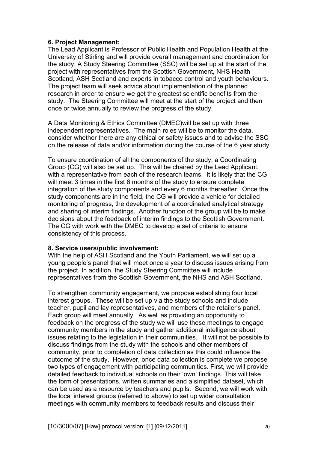## **6. Project Management:**

The Lead Applicant is Professor of Public Health and Population Health at the University of Stirling and will provide overall management and coordination for the study. A Study Steering Committee (SSC) will be set up at the start of the project with representatives from the Scottish Government, NHS Health Scotland, ASH Scotland and experts in tobacco control and youth behaviours. The project team will seek advice about implementation of the planned research in order to ensure we get the greatest scientific benefits from the study. The Steering Committee will meet at the start of the project and then once or twice annually to review the progress of the study.

A Data Monitoring & Ethics Committee (DMEC)will be set up with three independent representatives. The main roles will be to monitor the data, consider whether there are any ethical or safety issues and to advise the SSC on the release of data and/or information during the course of the 6 year study.

To ensure coordination of all the components of the study, a Coordinating Group (CG) will also be set up. This will be chaired by the Lead Applicant, with a representative from each of the research teams. It is likely that the CG will meet 3 times in the first 6 months of the study to ensure complete integration of the study components and every 6 months thereafter. Once the study components are in the field, the CG will provide a vehicle for detailed monitoring of progress, the development of a coordinated analytical strategy and sharing of interim findings. Another function of the group will be to make decisions about the feedback of interim findings to the Scottish Government. The CG with work with the DMEC to develop a set of criteria to ensure consistency of this process.

### **8. Service users/public involvement:**

With the help of ASH Scotland and the Youth Parliament, we will set up a young people's panel that will meet once a year to discuss issues arising from the project. In addition, the Study Steering Committee will include representatives from the Scottish Government, the NHS and ASH Scotland.

To strengthen community engagement, we propose establishing four local interest groups. These will be set up via the study schools and include teacher, pupil and lay representatives, and members of the retailer's panel. Each group will meet annually. As well as providing an opportunity to feedback on the progress of the study we will use these meetings to engage community members in the study and gather additional intelligence about issues relating to the legislation in their communities. It will not be possible to discuss findings from the study with the schools and other members of community, prior to completion of data collection as this could influence the outcome of the study. However, once data collection is complete we propose two types of engagement with participating communities. First, we will provide detailed feedback to individual schools on their 'own' findings. This will take the form of presentations, written summaries and a simplified dataset, which can be used as a resource by teachers and pupils. Second, we will work with the local interest groups (referred to above) to set up wider consultation meetings with community members to feedback results and discuss their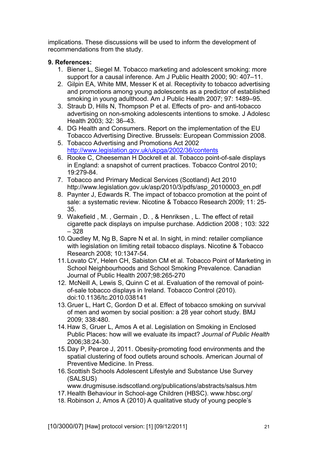implications. These discussions will be used to inform the development of recommendations from the study.

## **9. References:**

- 1. Biener L, Siegel M. Tobacco marketing and adolescent smoking: more support for a causal inference. Am J Public Health 2000; 90: 407–11.
- 2. Gilpin EA, White MM, Messer K et al. Receptivity to tobacco advertising and promotions among young adolescents as a predictor of established smoking in young adulthood. Am J Public Health 2007; 97: 1489–95.
- 3. Straub D, Hills N, Thompson P et al. Effects of pro- and anti-tobacco advertising on non-smoking adolescents intentions to smoke. J Adolesc Health 2003; 32: 36–43.
- 4. DG Health and Consumers. Report on the implementation of the EU Tobacco Advertising Directive. Brussels: European Commission 2008.
- 5. Tobacco Advertising and Promotions Act 2002 http://www.legislation.gov.uk/ukpga/2002/36/contents
- 6. Rooke C, Cheeseman H Dockrell et al. Tobacco point-of-sale displays in England: a snapshot of current practices. Tobacco Control 2010; 19:279-84.
- 7. Tobacco and Primary Medical Services (Scotland) Act 2010 http://www.legislation.gov.uk/asp/2010/3/pdfs/asp\_20100003\_en.pdf
- 8. Paynter J, Edwards R. The impact of tobacco promotion at the point of sale: a systematic review. Nicotine & Tobacco Research 2009; 11: 25- 35.
- 9. Wakefield , M. , Germain , D. , & Henriksen , L. The effect of retail cigarette pack displays on impulse purchase. Addiction 2008 ; 103: 322 – 328
- 10. Quedley M, Ng B, Sapre N et al. In sight, in mind: retailer compliance with legislation on limiting retail tobacco displays. Nicotine & Tobacco Research 2008; 10:1347-54.
- 11. Lovato CY, Helen CH, Sabiston CM et al. Tobacco Point of Marketing in School Neighbourhoods and School Smoking Prevalence. Canadian Journal of Public Health 2007;98:265-270
- 12. McNeill A, Lewis S, Quinn C et al. Evaluation of the removal of pointof-sale tobacco displays in Ireland. Tobacco Control (2010). doi:10.1136/tc.2010.038141
- 13. Gruer L, Hart C, Gordon D et al. Effect of tobacco smoking on survival of men and women by social position: a 28 year cohort study. BMJ 2009; 338:480.
- 14. Haw S, Gruer L, Amos A et al. Legislation on Smoking in Enclosed Public Places: how will we evaluate its impact? *Journal of Public Health* 2006;38:24-30.
- 15. Day P, Pearce J, 2011. Obesity-promoting food environments and the spatial clustering of food outlets around schools. American Journal of Preventive Medicine. In Press.
- 16. Scottish Schools Adolescent Lifestyle and Substance Use Survey (SALSUS)

www.drugmisuse.isdscotland.org/publications/abstracts/salsus.htm

- 17. Health Behaviour in School-age Children (HBSC). www.hbsc.org/
- 18. Robinson J, Amos A (2010) A qualitative study of young people's